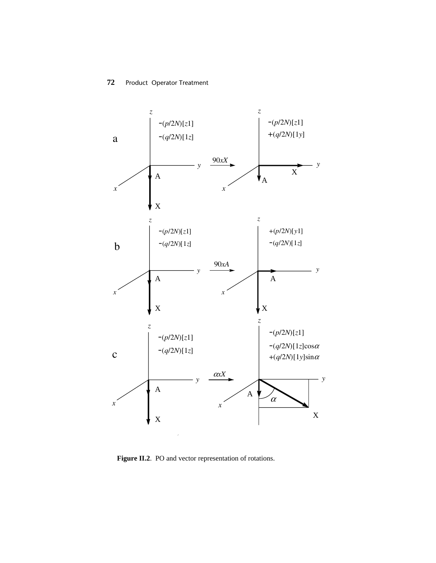

Figure II.2. PO and vector representation of rotations.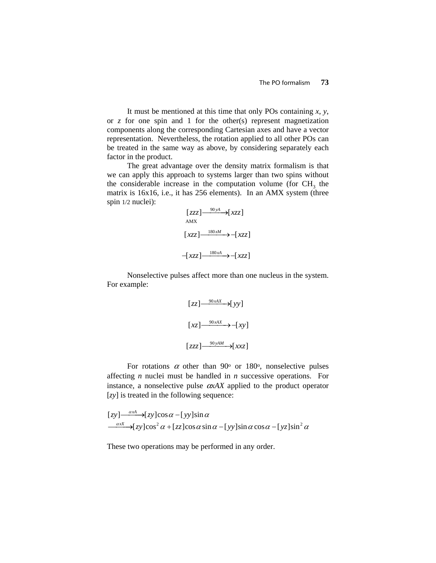It must be mentioned at this time that only POs containing *x*, *y*, or *z* for one spin and 1 for the other(s) represent magnetization components along the corresponding Cartesian axes and have a vector representation. Nevertheless, the rotation applied to all other POs can be treated in the same way as above, by considering separately each factor in the product.

The great advantage over the density matrix formalism is that we can apply this approach to systems larger than two spins without the considerable increase in the computation volume (for  $CH<sub>3</sub>$  the matrix is 16x16, i.e., it has 256 elements). In an AMX system (three spin 1/2 nuclei):

$$
\begin{aligned}\n[zzz] \xrightarrow{90yA} [xzz] \\
\text{AMX} \xrightarrow[xzz] \xrightarrow{180xM} -[xzz] \\
-[xzz] \xrightarrow{180xA} -[xzz]\n\end{aligned}
$$

Nonselective pulses affect more than one nucleus in the system. For example:

$$
[zz] \xrightarrow{90xAX} [yy]
$$

$$
[xz] \xrightarrow{90xAX} -[xy]
$$

$$
[zz] \xrightarrow{90yAM} [xx]
$$

For rotations  $\alpha$  other than 90° or 180°, nonselective pulses affecting *n* nuclei must be handled in *n* successive operations. For instance, a nonselective pulse  $\alpha xAX$  applied to the product operator [*zy*] is treated in the following sequence:

$$
\begin{array}{l}\n[zy] \xrightarrow{\alpha xA} - [zy]\cos\alpha - [yy]\sin\alpha \\
\xrightarrow{\alpha xX} - [zy]\cos^2\alpha + [zz]\cos\alpha \sin\alpha - [yy]\sin\alpha \cos\alpha - [yz]\sin^2\alpha\n\end{array}
$$

These two operations may be performed in any order.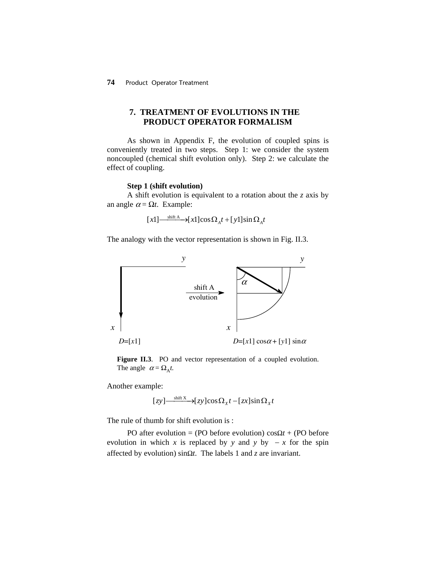# **7. TREATMENT OF EVOLUTIONS IN THE PRODUCT OPERATOR FORMALISM**

As shown in Appendix F, the evolution of coupled spins is conveniently treated in two steps. Step 1: we consider the system noncoupled (chemical shift evolution only). Step 2: we calculate the effect of coupling.

#### **Step 1 (shift evolution)**

A shift evolution is equivalent to a rotation about the *z* axis by an angle  $\alpha = \Omega t$ . Example:

$$
[x1] \xrightarrow{\text{shift A}} [x1] \cos \Omega_A t + [y1] \sin \Omega_A t
$$

The analogy with the vector representation is shown in Fig. II.3.



Figure II.3. PO and vector representation of a coupled evolution. The angle  $\alpha = \Omega_A t$ .

Another example:

$$
[zy] \xrightarrow{\text{shift } X} [zy] \cos \Omega_x t - [zx] \sin \Omega_x t
$$

The rule of thumb for shift evolution is :

PO after evolution = (PO before evolution)  $\cos \Omega t$  + (PO before evolution in which *x* is replaced by *y* and *y* by  $-x$  for the spin affected by evolution)  $\sin\Omega t$ . The labels 1 and *z* are invariant.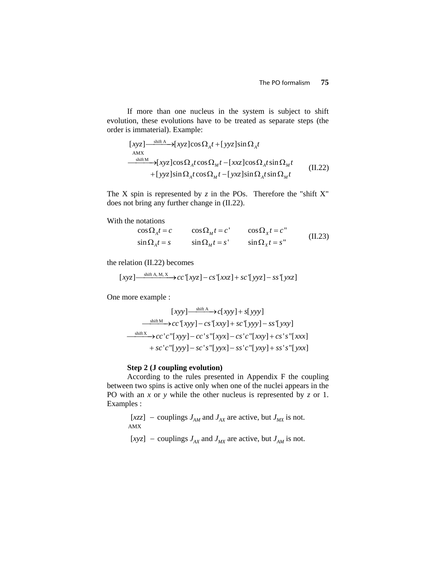If more than one nucleus in the system is subject to shift evolution, these evolutions have to be treated as separate steps (the order is immaterial). Example:

$$
[xyz] \xrightarrow{\text{shift A}} [xyz] \cos \Omega_A t + [yyz] \sin \Omega_A t
$$
  
\n
$$
\xrightarrow{\text{shift M}} [xyz] \cos \Omega_A t \cos \Omega_M t - [xxz] \cos \Omega_A t \sin \Omega_M t + [yyz] \sin \Omega_A t \cos \Omega_M t - [yxz] \sin \Omega_A t \sin \Omega_M t
$$
 (II.22)

The X spin is represented by  $z$  in the POs. Therefore the "shift  $X$ " does not bring any further change in (II.22).

With the notations

$$
\cos \Omega_A t = c \qquad \cos \Omega_M t = c' \qquad \cos \Omega_x t = c''
$$
  

$$
\sin \Omega_A t = s \qquad \sin \Omega_M t = s' \qquad \sin \Omega_x t = s'' \qquad (II.23)
$$

the relation (II.22) becomes

$$
[xyz] \xrightarrow{\text{shift A, M, X}} cc'[xyz] - cs'[xxz] + sc'[yyz] - ss'[yxz]
$$

One more example :

$$
[xyy] \xrightarrow{\text{shift A}} c[xyy] + s[yyy]
$$
  
\n
$$
\xrightarrow{\text{shift M}} cc'[xyy] - cs'[xxy] + sc'[yyy] - ss'[yxy]
$$
  
\n
$$
\xrightarrow{\text{shift X}} cc'c'[xyy] - cc's'[xyx] - cs'c'[xxy] + cs's'[xxx]
$$
  
\n
$$
+ sc'c'[yyy] - sc's'[yyx] - ss'c'[yyy] + ss's'[yxx]
$$

## **Step 2 (J coupling evolution)**

According to the rules presented in Appendix F the coupling between two spins is active only when one of the nuclei appears in the PO with an *x* or *y* while the other nucleus is represented by *z* or 1. Examples :

```
[xzz] – couplings J_{AM} and J_{AX} are active, but J_{MX} is not.
 AMX
```
 $[xyz]$  – couplings  $J_{AX}$  and  $J_{MX}$  are active, but  $J_{AM}$  is not.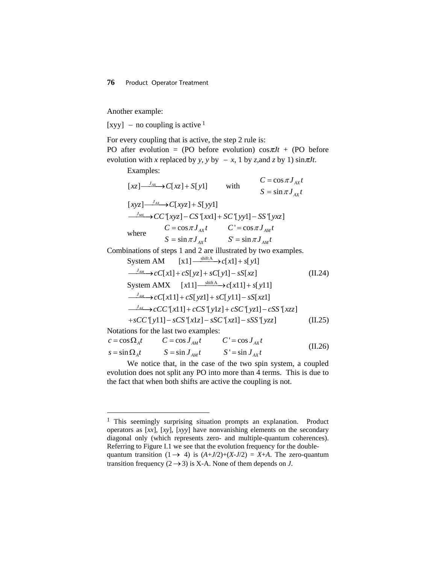Another example:

[xyy] – no coupling is active  $1$ 

For every coupling that is active, the step 2 rule is: PO after evolution = (PO before evolution)  $\cos \pi Jt$  + (PO before evolution with *x* replaced by *y*, *y* by  $-x$ , 1 by *z*, and *z* by 1) sin  $\pi Jt$ .

Examples:

-

|                                                                                                                  | $[xz] \xrightarrow{J_{AX}} C[xz] + S[y1]$        | with | $C = \cos \pi J_{4x}t$<br>$S = \sin \pi J_{4x}t$ |  |  |  |
|------------------------------------------------------------------------------------------------------------------|--------------------------------------------------|------|--------------------------------------------------|--|--|--|
|                                                                                                                  | $[xyz] \xrightarrow{J_{AX}} C[xyz] + S[yy1]$     |      |                                                  |  |  |  |
| $\frac{J_{MX}}{\sqrt{2}}$ $\rightarrow$ $CC$ $[xyz]$ $\frac{-CS}{[xx1]}$ $\frac{+SC}{[yy1]}$ $\frac{-SS}{[yxz]}$ |                                                  |      |                                                  |  |  |  |
| where                                                                                                            | $C = \cos \pi J_{AX}t$ $C' = \cos \pi J_{AM}t$   |      |                                                  |  |  |  |
|                                                                                                                  | $S = \sin \pi J_{AY} t$ $S' = \sin \pi J_{AY} t$ |      |                                                  |  |  |  |
| Combinations of steps 1 and 2 are illustrated by two examples.                                                   |                                                  |      |                                                  |  |  |  |
| System AM $[x1] \xrightarrow{\text{shift A}} c[x1] + s[y1]$                                                      |                                                  |      |                                                  |  |  |  |
| $\frac{J_{AM}}{I_{AM}}$ > $cC[x1]$ + $cS[yz]$ + $sC[y1]$ - $sS[xz]$                                              |                                                  |      |                                                  |  |  |  |
| System AMX $[x11] \xrightarrow{\text{shift A}} c[x11] + s[y11]$                                                  |                                                  |      |                                                  |  |  |  |
| $\frac{J_{AM}}{I_{AM}}$ > $cC[x11]+cS[yz1]+sC[y11]-sS[xz1]$                                                      |                                                  |      |                                                  |  |  |  |
| $\frac{J_{AX}}{J_{AX}}$ > $cCC$ '[x11] + $cCS$ '[y1z] + $cSC$ '[yz1] – $cSS$ '[xzz]                              |                                                  |      |                                                  |  |  |  |
| $+sCC$ $\lceil y11 \rceil - sCS$ $\lceil x1z \rceil - sSC$ $\lceil xz1 \rceil - sSS$ $\lceil yzz \rceil$         |                                                  |      |                                                  |  |  |  |
| Notations for the last two examples:                                                                             |                                                  |      |                                                  |  |  |  |

| $c = \cos \Omega_A t$   | $C = \cos J_{AM} t$ | $C' = \cos J_{av} t$ | (II.26) |
|-------------------------|---------------------|----------------------|---------|
| $s = \sin \Omega_{A} t$ | $S = \sin J_{AM}t$  | $S' = \sin J_{AY}t$  |         |

We notice that, in the case of the two spin system, a coupled evolution does not split any PO into more than 4 terms. This is due to the fact that when both shifts are active the coupling is not.

<span id="page-4-0"></span><sup>&</sup>lt;sup>1</sup> This seemingly surprising situation prompts an explanation. Product operators as [*xx*], [*xy*], [*xyy*] have nonvanishing elements on the secondary diagonal only (which represents zero- and multiple-quantum coherences). Referring to Figure I.1 we see that the evolution frequency for the doublequantum transition (1  $\rightarrow$  4) is  $(A+J/2)+(X-J/2) = X+A$ . The zero-quantum transition frequency  $(2 \rightarrow 3)$  is X-A. None of them depends on *J*.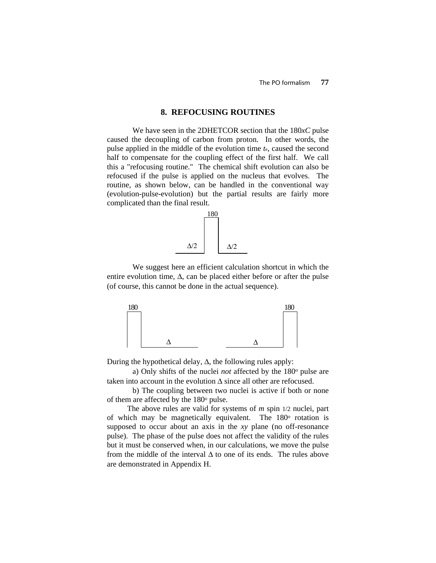### **8. REFOCUSING ROUTINES**

We have seen in the 2DHETCOR section that the 180*xC* pulse caused the decoupling of carbon from proton. In other words, the pulse applied in the middle of the evolution time *t*e, caused the second half to compensate for the coupling effect of the first half. We call this a "refocusing routine." The chemical shift evolution can also be refocused if the pulse is applied on the nucleus that evolves. The routine, as shown below, can be handled in the conventional way (evolution-pulse-evolution) but the partial results are fairly more complicated than the final result.



We suggest here an efficient calculation shortcut in which the entire evolution time,  $\Delta$ , can be placed either before or after the pulse (of course, this cannot be done in the actual sequence).



During the hypothetical delay,  $\Delta$ , the following rules apply:

a) Only shifts of the nuclei *not* affected by the 180<sup>°</sup> pulse are taken into account in the evolution  $\Delta$  since all other are refocused.

b) The coupling between two nuclei is active if both or none of them are affected by the 180<sup>o</sup> pulse.

The above rules are valid for systems of *m* spin 1/2 nuclei, part of which may be magnetically equivalent. The 180<sup>o</sup> rotation is supposed to occur about an axis in the *xy* plane (no off-resonance pulse). The phase of the pulse does not affect the validity of the rules but it must be conserved when, in our calculations, we move the pulse from the middle of the interval  $\Delta$  to one of its ends. The rules above are demonstrated in Appendix H.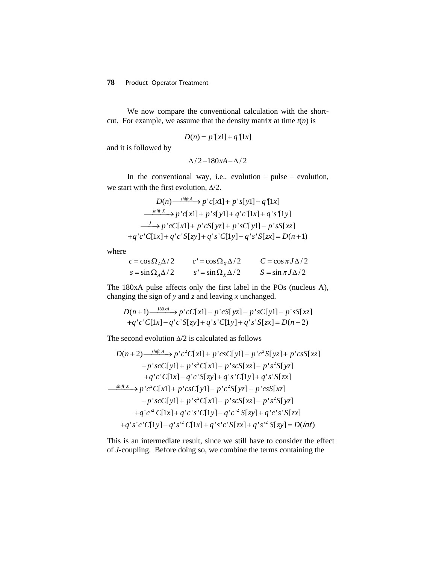## **78** Product Operator Treatment

We now compare the conventional calculation with the shortcut. For example, we assume that the density matrix at time  $t(n)$  is

$$
D(n) = p'[x1] + q'[1x]
$$

and it is followed by

$$
\Delta/2 - 180xA - \Delta/2
$$

In the conventional way, i.e., evolution − pulse − evolution, we start with the first evolution,  $\Delta/2$ .

$$
D(n) \xrightarrow{shift A} p'c[x1] + p's[y1] + q'[1x]
$$
  
\n
$$
\xrightarrow{shift X} p'c[x1] + p's[y1] + q'c'[1x] + q's'[1y]
$$
  
\n
$$
\xrightarrow{f} p'cC[x1] + p'cS[yz] + p'sC[y1] - p'sS[xz]
$$
  
\n
$$
+q'c'C[1x] + q'c'S[zy] + q's'C[1y] - q's'S[zx] = D(n+1)
$$

where

| $c = \cos \Omega_A \Delta/2$ | $c' = \cos \Omega_x \Delta/2$ | $C = \cos \pi J \Delta/2$ |
|------------------------------|-------------------------------|---------------------------|
| $s = \sin \Omega_A \Delta/2$ | $s' = \sin \Omega_x \Delta/2$ | $S = \sin \pi J \Delta/2$ |

The 180xA pulse affects only the first label in the POs (nucleus A), changing the sign of *y* and *z* and leaving *x* unchanged.

$$
D(n+1) \xrightarrow{180xA} p'cC[x1] - p'cS[yz] - p'sC[y1] - p'sS[xz]
$$
  
+q'c'C[1x] - q'c'S[zy] + q's'C[1y] + q's'S[zx] = D(n+2)

The second evolution  $\Delta/2$  is calculated as follows

$$
D(n+2) \xrightarrow{\text{shift } A} p'c^2C[x1] + p'csC[y1] - p'c^2S[yz] + p'csS[xz]
$$
  
\n
$$
-p'scC[y1] + p's^2C[x1] - p'scs[xz] - p's^2S[yz]
$$
  
\n
$$
+q'c'C[1x] - q'c'S[zy] + q's'C[1y] + q's'S[zx]
$$
  
\n
$$
\xrightarrow{\text{shift } X} p'c^2C[x1] + p'csC[y1] - p'c^2S[yz] + p'csS[xz]
$$
  
\n
$$
-p'scC[y1] + p's^2C[x1] - p'scS[xz] - p's^2S[yz]
$$
  
\n
$$
+q'c'^2C[1x] + q'c's'C[1y] - q'c'^2S[zy] + q'c's'S[zx]
$$
  
\n
$$
+q's'c'C[1y] - q's'^2C[1x] + q's'c'S[zx] + q's'^2S[zy] = D(\text{int})
$$

This is an intermediate result, since we still have to consider the effect of *J*-coupling. Before doing so, we combine the terms containing the